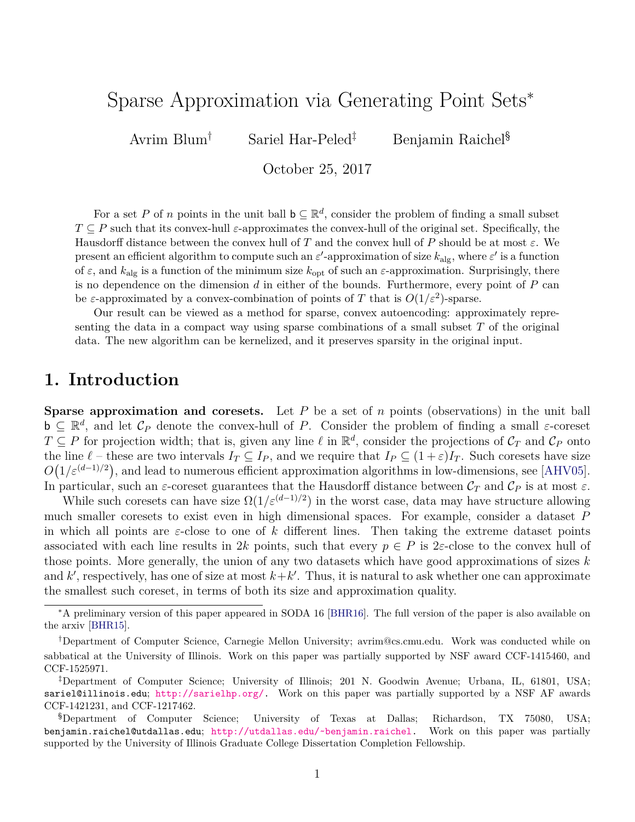# Sparse Approximation via Generating Point Sets<sup>∗</sup>

Avrim Blum† Sariel Har-Peled‡ Benjamin Raichel§

October 25, 2017

For a set P of n points in the unit ball  $\mathsf{b} \subseteq \mathbb{R}^d$ , consider the problem of finding a small subset  $T \subseteq P$  such that its convex-hull  $\varepsilon$ -approximates the convex-hull of the original set. Specifically, the Hausdorff distance between the convex hull of T and the convex hull of P should be at most  $\varepsilon$ . We present an efficient algorithm to compute such an  $\varepsilon'$ -approximation of size  $k_{\text{alg}}$ , where  $\varepsilon'$  is a function of  $\varepsilon$ , and  $k_{\text{alg}}$  is a function of the minimum size  $k_{\text{opt}}$  of such an  $\varepsilon$ -approximation. Surprisingly, there is no dependence on the dimension  $d$  in either of the bounds. Furthermore, every point of  $P$  can be  $\varepsilon$ -approximated by a convex-combination of points of T that is  $O(1/\varepsilon^2)$ -sparse.

Our result can be viewed as a method for sparse, convex autoencoding: approximately representing the data in a compact way using sparse combinations of a small subset  $T$  of the original data. The new algorithm can be kernelized, and it preserves sparsity in the original input.

### **1. Introduction**

**Sparse approximation and coresets.** Let  $P$  be a set of  $n$  points (observations) in the unit ball  $\mathbf{b} \subseteq \mathbb{R}^d$ , and let  $\mathcal{C}_P$  denote the convex-hull of P. Consider the problem of finding a small  $\varepsilon$ -coreset  $T \subseteq P$  for projection width; that is, given any line  $\ell$  in  $\mathbb{R}^d$ , consider the projections of  $\mathcal{C}_T$  and  $\mathcal{C}_P$  onto the line  $\ell$  – these are two intervals  $I_T \subseteq I_P$ , and we require that  $I_P \subseteq (1+\varepsilon)I_T$ . Such coresets have size  $O(1/\varepsilon^{(d-1)/2})$ , and lead to numerous efficient approximation algorithms in low-dimensions, see [\[AHV05\]](#page-12-0). In particular, such an  $\varepsilon$ -coreset guarantees that the Hausdorff distance between  $\mathcal{C}_T$  and  $\mathcal{C}_P$  is at most  $\varepsilon$ .

While such coresets can have size  $\Omega(1/\varepsilon^{(d-1)/2})$  in the worst case, data may have structure allowing much smaller coresets to exist even in high dimensional spaces. For example, consider a dataset P in which all points are  $\varepsilon$ -close to one of k different lines. Then taking the extreme dataset points associated with each line results in 2k points, such that every  $p \in P$  is 2 $\varepsilon$ -close to the convex hull of those points. More generally, the union of any two datasets which have good approximations of sizes  $k$ and  $k'$ , respectively, has one of size at most  $k+k'$ . Thus, it is natural to ask whether one can approximate the smallest such coreset, in terms of both its size and approximation quality.

<sup>∗</sup>A preliminary version of this paper appeared in SODA 16 [\[BHR16\]](#page-13-0). The full version of the paper is also available on the arxiv [\[BHR15\]](#page-13-1).

<sup>†</sup>Department of Computer Science, Carnegie Mellon University; avrim@cs.cmu.edu. Work was conducted while on sabbatical at the University of Illinois. Work on this paper was partially supported by NSF award CCF-1415460, and CCF-1525971.

<sup>‡</sup>Department of Computer Science; University of Illinois; 201 N. Goodwin Avenue; Urbana, IL, 61801, USA; sariel@illinois.edu; [http://sarielhp.org/.](http://sarielhp.org/) Work on this paper was partially supported by a NSF AF awards CCF-1421231, and CCF-1217462.

<sup>§</sup>Department of Computer Science; University of Texas at Dallas; Richardson, TX 75080, USA; benjamin.raichel@utdallas.edu; [http://utdallas.edu/~benjamin.raichel.](http://utdallas.edu/~benjamin.raichel) Work on this paper was partially supported by the University of Illinois Graduate College Dissertation Completion Fellowship.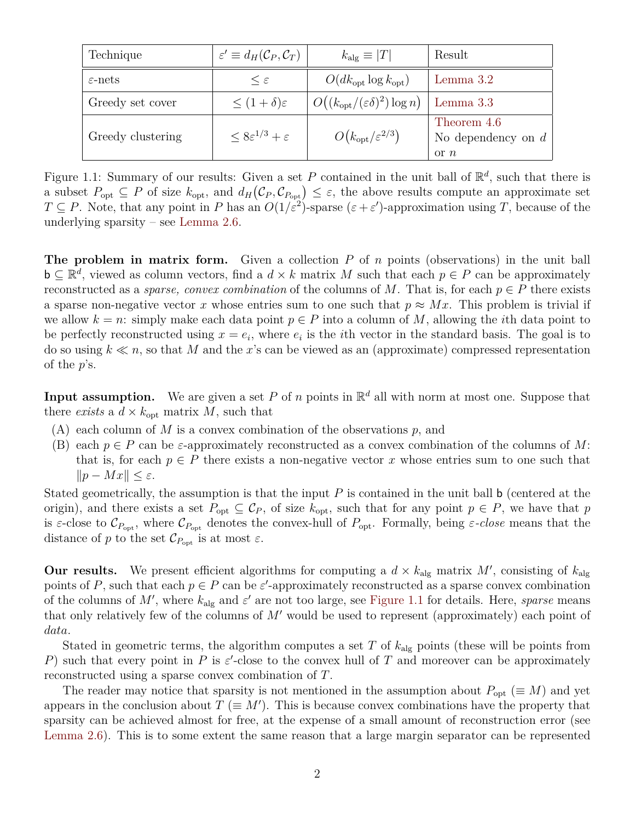<span id="page-1-0"></span>

| Technique           | $\varepsilon' \equiv d_H(\mathcal{C}_P, \mathcal{C}_T)$ | $k_{\rm alg} \equiv  T $                          | Result                                            |
|---------------------|---------------------------------------------------------|---------------------------------------------------|---------------------------------------------------|
| $\varepsilon$ -nets | $\epsilon$                                              | $O(dk_{\rm opt} \log k_{\rm opt})$                | Lemma $3.2$                                       |
| Greedy set cover    | $\leq (1+\delta)\varepsilon$                            | $O((k_{\text{opt}}/(\varepsilon\delta)^2)\log n)$ | Lemma 3.3                                         |
| Greedy clustering   | $\leq 8\varepsilon^{1/3} + \varepsilon$                 | $O(k_{\rm opt}/\varepsilon^{2/3})$                | Theorem 4.6<br>No dependency on $d$<br>$\alpha n$ |

Figure 1.1: Summary of our results: Given a set P contained in the unit ball of  $\mathbb{R}^d$ , such that there is a subset  $P_{opt} \subseteq P$  of size  $k_{opt}$ , and  $d_H(\mathcal{C}_P, \mathcal{C}_{P_{opt}}) \leq \varepsilon$ , the above results compute an approximate set  $T \subseteq P$ . Note, that any point in P has an  $O(1/\varepsilon^2)$ -sparse  $(\varepsilon + \varepsilon')$ -approximation using T, because of the underlying sparsity – see [Lemma 2.6.](#page-4-0)

**The problem in matrix form.** Given a collection P of n points (observations) in the unit ball  $\mathbf{b} \subseteq \mathbb{R}^d$ , viewed as column vectors, find a  $d \times k$  matrix M such that each  $p \in P$  can be approximately reconstructed as a *sparse, convex combination* of the columns of M. That is, for each  $p \in P$  there exists a sparse non-negative vector x whose entries sum to one such that  $p \approx Mx$ . This problem is trivial if we allow  $k = n$ : simply make each data point  $p \in P$  into a column of M, allowing the *i*th data point to be perfectly reconstructed using  $x = e_i$ , where  $e_i$  is the *i*th vector in the standard basis. The goal is to do so using  $k \ll n$ , so that M and the x's can be viewed as an (approximate) compressed representation of the  $p$ 's.

**Input assumption.** We are given a set P of n points in  $\mathbb{R}^d$  all with norm at most one. Suppose that there *exists* a  $d \times k_{\text{opt}}$  matrix M, such that

- $(A)$  each column of M is a convex combination of the observations p, and
- (B) each  $p \in P$  can be  $\varepsilon$ -approximately reconstructed as a convex combination of the columns of M: that is, for each  $p \in P$  there exists a non-negative vector x whose entries sum to one such that  $||p - Mx|| < \varepsilon.$

Stated geometrically, the assumption is that the input  $P$  is contained in the unit ball b (centered at the origin), and there exists a set  $P_{opt} \subseteq C_P$ , of size  $k_{opt}$ , such that for any point  $p \in P$ , we have that p is  $\varepsilon$ -close to  $\mathcal{C}_{P_{\text{opt}}}$ , where  $\mathcal{C}_{P_{\text{opt}}}$  denotes the convex-hull of  $P_{\text{opt}}$ . Formally, being  $\varepsilon$ -close means that the distance of p to the set  $\mathcal{C}_{P_{\text{opt}}}$  is at most  $\varepsilon$ .

**Our results.** We present efficient algorithms for computing a  $d \times k_{\text{alg}}$  matrix M', consisting of  $k_{\text{alg}}$ points of P, such that each  $p \in P$  can be  $\varepsilon'$ -approximately reconstructed as a sparse convex combination of the columns of M', where  $k_{\text{alg}}$  and  $\varepsilon'$  are not too large, see [Figure 1.1](#page-1-0) for details. Here, *sparse* means that only relatively few of the columns of  $M'$  would be used to represent (approximately) each point of data.

Stated in geometric terms, the algorithm computes a set T of  $k_{\text{alg}}$  points (these will be points from P) such that every point in P is  $\varepsilon'$ -close to the convex hull of T and moreover can be approximately reconstructed using a sparse convex combination of T.

The reader may notice that sparsity is not mentioned in the assumption about  $P_{\text{out}} (\equiv M)$  and yet appears in the conclusion about  $T \equiv M'$ ). This is because convex combinations have the property that sparsity can be achieved almost for free, at the expense of a small amount of reconstruction error (see [Lemma 2.6\)](#page-4-0). This is to some extent the same reason that a large margin separator can be represented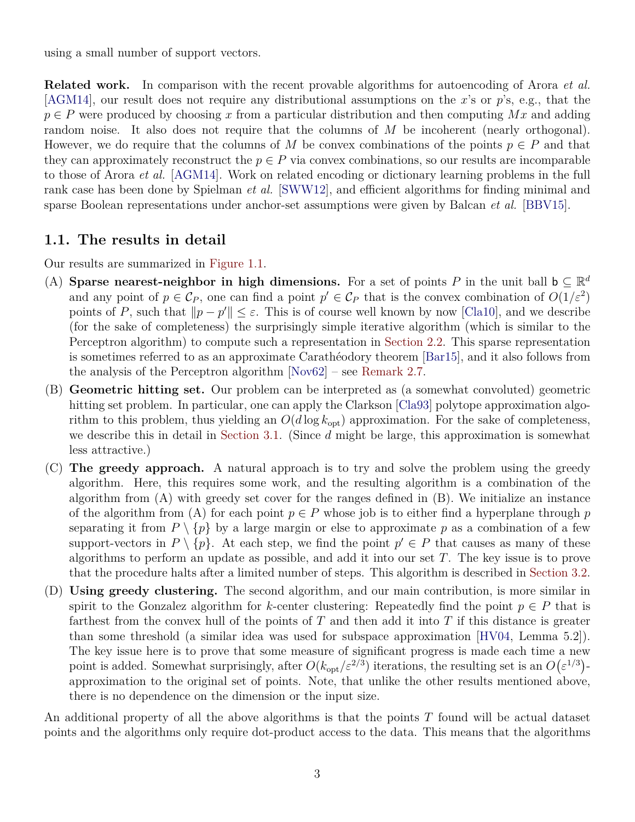using a small number of support vectors.

**Related work.** In comparison with the recent provable algorithms for autoencoding of Arora *et al.*  $[\text{AGM14}]$ , our result does not require any distributional assumptions on the x's or p's, e.g., that the  $p \in P$  were produced by choosing x from a particular distribution and then computing Mx and adding random noise. It also does not require that the columns of M be incoherent (nearly orthogonal). However, we do require that the columns of M be convex combinations of the points  $p \in P$  and that they can approximately reconstruct the  $p \in P$  via convex combinations, so our results are incomparable to those of Arora *et al.* [\[AGM14\]](#page-12-2). Work on related encoding or dictionary learning problems in the full rank case has been done by Spielman *et al.* [\[SWW12\]](#page-13-2), and efficient algorithms for finding minimal and sparse Boolean representations under anchor-set assumptions were given by Balcan *et al.* [\[BBV15\]](#page-13-3).

#### **1.1. The results in detail**

Our results are summarized in [Figure 1.1.](#page-1-0)

- (A) **Sparse nearest-neighbor in high dimensions.** For a set of points P in the unit ball  $b \subseteq \mathbb{R}^d$ and any point of  $p \in \mathcal{C}_P$ , one can find a point  $p' \in \mathcal{C}_P$  that is the convex combination of  $O(1/\varepsilon^2)$ points of P, such that  $||p - p'|| \le \varepsilon$ . This is of course well known by now [\[Cla10\]](#page-13-4), and we describe (for the sake of completeness) the surprisingly simple iterative algorithm (which is similar to the Perceptron algorithm) to compute such a representation in [Section 2.2.](#page-4-1) This sparse representation is sometimes referred to as an approximate Carathéodory theorem [\[Bar15\]](#page-13-5), and it also follows from the analysis of the Perceptron algorithm [\[Nov62\]](#page-13-6) – see [Remark 2.7.](#page-5-1)
- (B) **Geometric hitting set.** Our problem can be interpreted as (a somewhat convoluted) geometric hitting set problem. In particular, one can apply the Clarkson [\[Cla93\]](#page-13-7) polytope approximation algorithm to this problem, thus yielding an  $O(d \log k_{opt})$  approximation. For the sake of completeness, we describe this in detail in [Section 3.1.](#page-5-2) (Since  $d$  might be large, this approximation is somewhat less attractive.)
- (C) **The greedy approach.** A natural approach is to try and solve the problem using the greedy algorithm. Here, this requires some work, and the resulting algorithm is a combination of the algorithm from (A) with greedy set cover for the ranges defined in (B). We initialize an instance of the algorithm from (A) for each point  $p \in P$  whose job is to either find a hyperplane through p separating it from  $P \setminus \{p\}$  by a large margin or else to approximate p as a combination of a few support-vectors in  $P \setminus \{p\}$ . At each step, we find the point  $p' \in P$  that causes as many of these algorithms to perform an update as possible, and add it into our set  $T$ . The key issue is to prove that the procedure halts after a limited number of steps. This algorithm is described in [Section 3.2.](#page-6-1)
- (D) **Using greedy clustering.** The second algorithm, and our main contribution, is more similar in spirit to the Gonzalez algorithm for k-center clustering: Repeatedly find the point  $p \in P$  that is farthest from the convex hull of the points of  $T$  and then add it into  $T$  if this distance is greater than some threshold (a similar idea was used for subspace approximation [\[HV04,](#page-13-8) Lemma 5.2]). The key issue here is to prove that some measure of significant progress is made each time a new point is added. Somewhat surprisingly, after  $O(k_{\rm opt}/\varepsilon^{2/3})$  iterations, the resulting set is an  $O(\varepsilon^{1/3})$ approximation to the original set of points. Note, that unlike the other results mentioned above, there is no dependence on the dimension or the input size.

An additional property of all the above algorithms is that the points T found will be actual dataset points and the algorithms only require dot-product access to the data. This means that the algorithms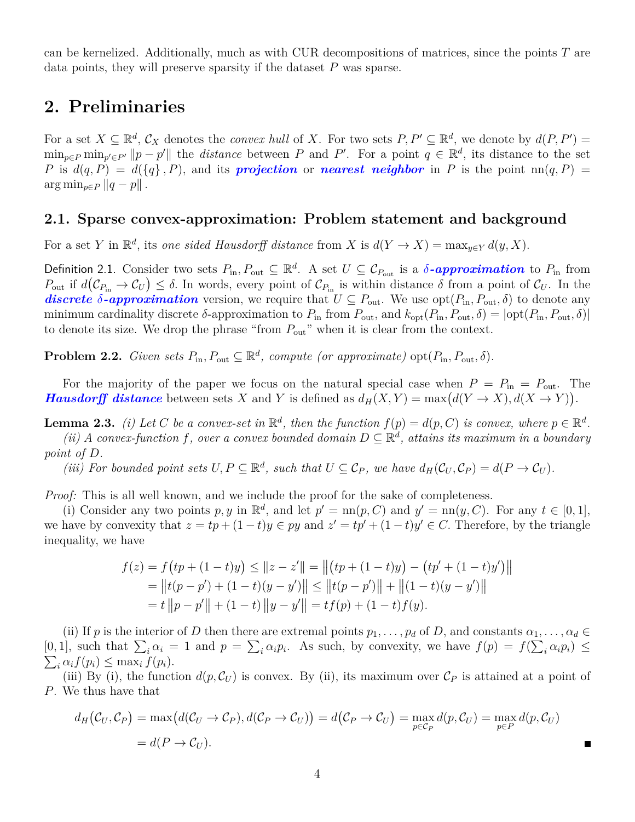can be kernelized. Additionally, much as with CUR decompositions of matrices, since the points  $T$  are data points, they will preserve sparsity if the dataset  $P$  was sparse.

### **2. Preliminaries**

For a set  $X \subseteq \mathbb{R}^d$ ,  $\mathcal{C}_X$  denotes the *convex hull* of X. For two sets  $P, P' \subseteq \mathbb{R}^d$ , we denote by  $d(P, P') =$  $\min_{p \in P} \min_{p' \in P'} ||p - p'||$  the *distance* between P and P'. For a point  $q \in \mathbb{R}^d$ , its distance to the set P is  $d(q, P) = d({q}, P)$ , and its **projection** or **nearest neighbor** in P is the point  $nn(q, P)$  $\arg \min_{p \in P} ||q - p||$ .

#### **2.1. Sparse convex-approximation: Problem statement and background**

For a set Y in  $\mathbb{R}^d$ , its *one sided Hausdorff distance* from X is  $d(Y \to X) = \max_{y \in Y} d(y, X)$ .

<span id="page-3-1"></span>Definition 2.1. Consider two sets  $P_{\text{in}}$ ,  $P_{\text{out}} \subseteq \mathbb{R}^d$ . A set  $U \subseteq C_{P_{\text{out}}}$  is a  $\delta$ -approximation to  $P_{\text{in}}$  from  $P_{\text{out}}$  if  $d(\mathcal{C}_{P_{\text{in}}} \to \mathcal{C}_{U}) \leq \delta$ . In words, every point of  $\mathcal{C}_{P_{\text{in}}}$  is within distance  $\delta$  from a point of  $\mathcal{C}_{U}$ . In the discrete  $\delta$ -approximation version, we require that  $U \subseteq P_{\text{out}}$ . We use  $\text{opt}(P_{\text{in}}, P_{\text{out}}, \delta)$  to denote any minimum cardinality discrete  $\delta$ -approximation to  $P_{\text{in}}$  from  $P_{\text{out}}$ , and  $k_{\text{opt}}(P_{\text{in}}, P_{\text{out}}, \delta) = |\text{opt}(P_{\text{in}}, P_{\text{out}}, \delta)|$ to denote its size. We drop the phrase "from  $P_{\text{out}}$ " when it is clear from the context.

<span id="page-3-0"></span>**Problem 2.2.** *Given sets*  $P_{\text{in}}$ ,  $P_{\text{out}} \subseteq \mathbb{R}^d$ , *compute (or approximate)*  $\text{opt}(P_{\text{in}}$ ,  $P_{\text{out}}$ ,  $\delta$ ).

For the majority of the paper we focus on the natural special case when  $P = P_{\text{in}} = P_{\text{out}}$ . The *Hausdorff distance* between sets X and Y is defined as  $d_H(X, Y) = \max(d(Y \to X), d(X \to Y)).$ 

<span id="page-3-2"></span>**Lemma 2.3.** *(i)* Let C be a convex-set in  $\mathbb{R}^d$ , then the function  $f(p) = d(p, C)$  is convex, where  $p \in \mathbb{R}^d$ . (*ii*) A convex-function f, over a convex bounded domain  $D \subseteq \mathbb{R}^d$ , attains its maximum in a boundary *point of* D*.*

(*iii*) For bounded point sets  $U, P \subseteq \mathbb{R}^d$ , such that  $U \subseteq C_P$ , we have  $d_H(\mathcal{C}_U, \mathcal{C}_P) = d(P \to \mathcal{C}_U)$ .

*Proof:* This is all well known, and we include the proof for the sake of completeness.

(i) Consider any two points p, y in  $\mathbb{R}^d$ , and let  $p' = \text{nn}(p, C)$  and  $y' = \text{nn}(y, C)$ . For any  $t \in [0, 1]$ , we have by convexity that  $z = tp + (1-t)y \in py$  and  $z' = tp' + (1-t)y' \in C$ . Therefore, by the triangle inequality, we have

$$
f(z) = f(tp + (1-t)y) \le ||z - z'|| = ||(tp + (1-t)y) - (tp' + (1-t)y')||
$$
  
= 
$$
||t(p - p') + (1-t)(y - y')|| \le ||t(p - p')|| + ||(1-t)(y - y')||
$$
  
= 
$$
t ||p - p'|| + (1-t) ||y - y'|| = tf(p) + (1-t)f(y).
$$

(ii) If p is the interior of D then there are extremal points  $p_1, \ldots, p_d$  of D, and constants  $\alpha_1, \ldots, \alpha_d \in$ [0, 1], such that  $\sum_i \alpha_i = 1$  and  $p = \sum_i \alpha_i p_i$ . As such, by convexity, we have  $f(p) = f(\sum_i \alpha_i p_i) \le$  $\sum_i \alpha_i f(p_i) \leq \max_i f(p_i).$ 

(iii) By (i), the function  $d(p, C_U)$  is convex. By (ii), its maximum over  $C_P$  is attained at a point of P. We thus have that

$$
d_H(C_U, C_P) = \max(d(C_U \to C_P), d(C_P \to C_U)) = d(C_P \to C_U) = \max_{p \in C_P} d(p, C_U) = \max_{p \in P} d(p, C_U)
$$
  
=  $d(P \to C_U)$ .

П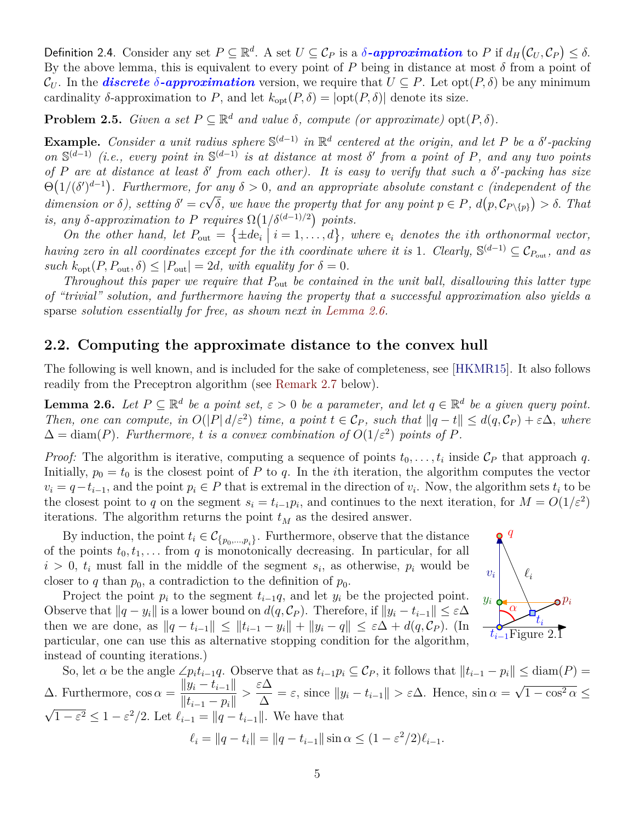Definition 2.4. Consider any set  $P \subseteq \mathbb{R}^d$ . A set  $U \subseteq C_P$  is a  $\delta$ -approximation to P if  $d_H(\mathcal{C}_U, \mathcal{C}_P) \leq \delta$ . By the above lemma, this is equivalent to every point of P being in distance at most  $\delta$  from a point of  $\mathcal{C}_U$ . In the **discrete**  $\delta$ -**approximation** version, we require that  $U \subseteq P$ . Let opt $(P, \delta)$  be any minimum cardinality  $\delta$ -approximation to P, and let  $k_{\text{opt}}(P, \delta) = |\text{opt}(P, \delta)|$  denote its size.

<span id="page-4-3"></span>**Problem 2.5.** *Given a set*  $P \subseteq \mathbb{R}^d$  *and value*  $\delta$ *, compute (or approximate)*  $opt(P, \delta)$ *.* 

**Example.** Consider a unit radius sphere  $\mathbb{S}^{(d-1)}$  in  $\mathbb{R}^d$  centered at the origin, and let P be a  $\delta'$ -packing on  $\mathbb{S}^{(d-1)}$  (*i.e., every point in*  $\mathbb{S}^{(d-1)}$  *is at distance at most*  $\delta'$  from a point of P, and any two points *of* P *are at distance at least* δ 0 *from each other). It is easy to verify that such a* δ 0 *-packing has size*  $\Theta(1/(\delta')^{d-1})$ . Furthermore, for any  $\delta > 0$ , and an appropriate absolute constant c *(independent of the* dimension or  $\delta$ ), setting  $\delta' = c\sqrt{\delta}$ , we have the property that for any point  $p \in P$ ,  $d(p, C_{P\setminus\{p\}}) > \delta$ . That is, any  $\delta$ -approximation to P requires  $\Omega(1/\delta^{(d-1)/2})$  points.

On the other hand, let  $P_{\text{out}} = {\pm de_i | i = 1, ..., d}$ , where  $e_i$  denotes the *i*th orthonormal vector, *having zero in all coordinates except for the ith coordinate where it is* 1*. Clearly*,  $\mathbb{S}^{(d-1)} \subseteq C_{P_{\text{out}}}$ , and as *such*  $k_{opt}(P, P_{out}, \delta) \leq |P_{out}| = 2d$ , with equality for  $\delta = 0$ .

*Throughout this paper we require that*  $P_{\text{out}}$  *be contained in the unit ball, disallowing this latter type of "trivial" solution, and furthermore having the property that a successful approximation also yields a* sparse *solution essentially for free, as shown next in [Lemma 2.6.](#page-4-0)*

#### <span id="page-4-1"></span>**2.2. Computing the approximate distance to the convex hull**

The following is well known, and is included for the sake of completeness, see [\[HKMR15\]](#page-13-9). It also follows readily from the Preceptron algorithm (see [Remark 2.7](#page-5-1) below).

<span id="page-4-0"></span>**Lemma 2.6.** *Let*  $P \subseteq \mathbb{R}^d$  *be a point set,*  $\varepsilon > 0$  *be a parameter, and let*  $q \in \mathbb{R}^d$  *be a given query point. Then, one can compute, in*  $O(|P| d/\varepsilon^2)$  *time, a point*  $t \in C_P$ *, such that*  $||q-t|| \leq d(q, C_P) + \varepsilon \Delta$ *, where*  $\Delta = \text{diam}(P)$ *. Furthermore, t is a convex combination of*  $O(1/\varepsilon^2)$  *points of* P.

*Proof:* The algorithm is iterative, computing a sequence of points  $t_0, \ldots, t_i$  inside  $C_P$  that approach q. Initially,  $p_0 = t_0$  is the closest point of P to q. In the *i*th iteration, the algorithm computes the vector  $v_i = q-t_{i-1}$ , and the point  $p_i \in P$  that is extremal in the direction of  $v_i$ . Now, the algorithm sets  $t_i$  to be the closest point to q on the segment  $s_i = t_{i-1}p_i$ , and continues to the next iteration, for  $M = O(1/\varepsilon^2)$ iterations. The algorithm returns the point  $t_M$  as the desired answer.

By induction, the point  $t_i \in \mathcal{C}_{\{p_0,\dots,p_i\}}$ . Furthermore, observe that the distance of the points  $t_0, t_1, \ldots$  from q is monotonically decreasing. In particular, for all  $i > 0$ ,  $t_i$  must fall in the middle of the segment  $s_i$ , as otherwise,  $p_i$  would be closer to q than  $p_0$ , a contradiction to the definition of  $p_0$ .

Project the point  $p_i$  to the segment  $t_{i-1}q$ , and let  $y_i$  be the projected point. Observe that  $||q - y_i||$  is a lower bound on  $d(q, C_P)$ . Therefore, if  $||y_i - t_{i-1}|| \leq \varepsilon \Delta$ then we are done, as  $||q - t_{i-1}|| \leq ||t_{i-1} - y_i|| + ||y_i - q|| \leq \varepsilon \Delta + d(q, C_P)$ . (In particular, one can use this as alternative stopping condition for the algorithm, instead of counting iterations.)



 $t_{i-1}$ Figure 2.1

 $\ell_i$ 

 $\overline{\alpha}$ 

q

yi

<span id="page-4-2"></span> $t_i$ 

 $\mathbf e^{p_i}$ 

$$
\ell_i = \|q - t_i\| = \|q - t_{i-1}\| \sin \alpha \le (1 - \varepsilon^2 / 2)\ell_{i-1}.
$$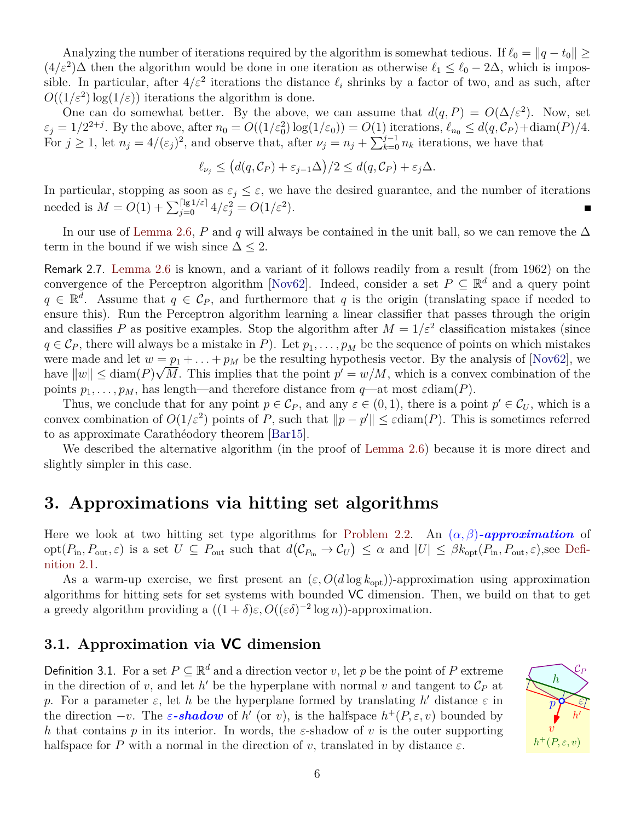Analyzing the number of iterations required by the algorithm is somewhat tedious. If  $\ell_0 = ||q - t_0|| \ge$  $(4/\varepsilon^2)\Delta$  then the algorithm would be done in one iteration as otherwise  $\ell_1 \leq \ell_0 - 2\Delta$ , which is impossible. In particular, after  $4/\varepsilon^2$  iterations the distance  $\ell_i$  shrinks by a factor of two, and as such, after  $O((1/\varepsilon^2) \log(1/\varepsilon))$  iterations the algorithm is done.

One can do somewhat better. By the above, we can assume that  $d(q, P) = O(\Delta/\varepsilon^2)$ . Now, set  $\varepsilon_j = 1/2^{2+j}$ . By the above, after  $n_0 = O((1/\varepsilon_0^2) \log(1/\varepsilon_0)) = O(1)$  iterations,  $\ell_{n_0} \leq d(q, \mathcal{C}_P) + \text{diam}(P)/4$ . For  $j \ge 1$ , let  $n_j = 4/(\varepsilon_j)^2$ , and observe that, after  $\nu_j = n_j + \sum_{k=0}^{j-1} n_k$  iterations, we have that

$$
\ell_{\nu_j} \le \big(d(q,\mathcal{C}_P) + \varepsilon_{j-1}\Delta\big)/2 \le d(q,\mathcal{C}_P) + \varepsilon_j\Delta.
$$

In particular, stopping as soon as  $\varepsilon_j \leq \varepsilon$ , we have the desired guarantee, and the number of iterations needed is  $M = O(1) + \sum_{j=0}^{\lceil \lg 1/\varepsilon \rceil} 4/\varepsilon_j^2 = O(1/\varepsilon^2)$ .

In our use of [Lemma 2.6,](#page-4-0) P and q will always be contained in the unit ball, so we can remove the  $\Delta$ term in the bound if we wish since  $\Delta \leq 2$ .

<span id="page-5-1"></span>Remark 2.7. [Lemma 2.6](#page-4-0) is known, and a variant of it follows readily from a result (from 1962) on the convergence of the Perceptron algorithm [\[Nov62\]](#page-13-6). Indeed, consider a set  $P \subseteq \mathbb{R}^d$  and a query point  $q \in \mathbb{R}^d$ . Assume that  $q \in \mathcal{C}_P$ , and furthermore that q is the origin (translating space if needed to ensure this). Run the Perceptron algorithm learning a linear classifier that passes through the origin and classifies P as positive examples. Stop the algorithm after  $M = 1/\varepsilon^2$  classification mistakes (since  $q \in \mathcal{C}_P$ , there will always be a mistake in P). Let  $p_1, \ldots, p_M$  be the sequence of points on which mistakes were made and let  $w = p_1 + \ldots + p_M$  be the resulting hypothesis vector. By the analysis of [\[Nov62\]](#page-13-6), we have  $||w|| \leq \text{diam}(P)\sqrt{M}$ . This implies that the point  $p' = w/M$ , which is a convex combination of the points  $p_1, \ldots, p_M$ , has length—and therefore distance from  $q$ —at most  $\varepsilon$ diam(P).

Thus, we conclude that for any point  $p \in C_P$ , and any  $\varepsilon \in (0,1)$ , there is a point  $p' \in C_U$ , which is a convex combination of  $O(1/\varepsilon^2)$  points of P, such that  $||p - p'|| \leq \varepsilon \text{diam}(P)$ . This is sometimes referred to as approximate Carathéodory theorem [\[Bar15\]](#page-13-5).

We described the alternative algorithm (in the proof of [Lemma 2.6\)](#page-4-0) because it is more direct and slightly simpler in this case.

### **3. Approximations via hitting set algorithms**

Here we look at two hitting set type algorithms for [Problem 2.2.](#page-3-0) An  $(\alpha, \beta)$ -approximation of  $\mathrm{opt}(P_{\text{in}}, P_{\text{out}}, \varepsilon)$  is a set  $U \subseteq P_{\text{out}}$  such that  $d(\mathcal{C}_{P_{\text{in}}} \to \mathcal{C}_U) \leq \alpha$  and  $|U| \leq \beta k_{\text{opt}}(P_{\text{in}}, P_{\text{out}}, \varepsilon)$ , see [Defi](#page-3-1)[nition 2.1.](#page-3-1)

As a warm-up exercise, we first present an  $(\varepsilon, O(d \log k_{\rm opt}))$ -approximation using approximation algorithms for hitting sets for set systems with bounded VC dimension. Then, we build on that to get a greedy algorithm providing a  $((1 + \delta)\varepsilon, O((\varepsilon\delta)^{-2} \log n))$ -approximation.

### <span id="page-5-2"></span>**3.1. Approximation via VC dimension**

<span id="page-5-3"></span><span id="page-5-0"></span>Definition 3.1. For a set  $P \subseteq \mathbb{R}^d$  and a direction vector v, let p be the point of P extreme in the direction of v, and let  $h'$  be the hyperplane with normal v and tangent to  $\mathcal{C}_P$  at p. For a parameter  $\varepsilon$ , let h be the hyperplane formed by translating h' distance  $\varepsilon$  in the direction  $-v$ . The  $\varepsilon$ -**shadow** of h' (or v), is the halfspace  $h^+(P,\varepsilon,v)$  bounded by h that contains p in its interior. In words, the  $\varepsilon$ -shadow of v is the outer supporting halfspace for P with a normal in the direction of v, translated in by distance  $\varepsilon$ .

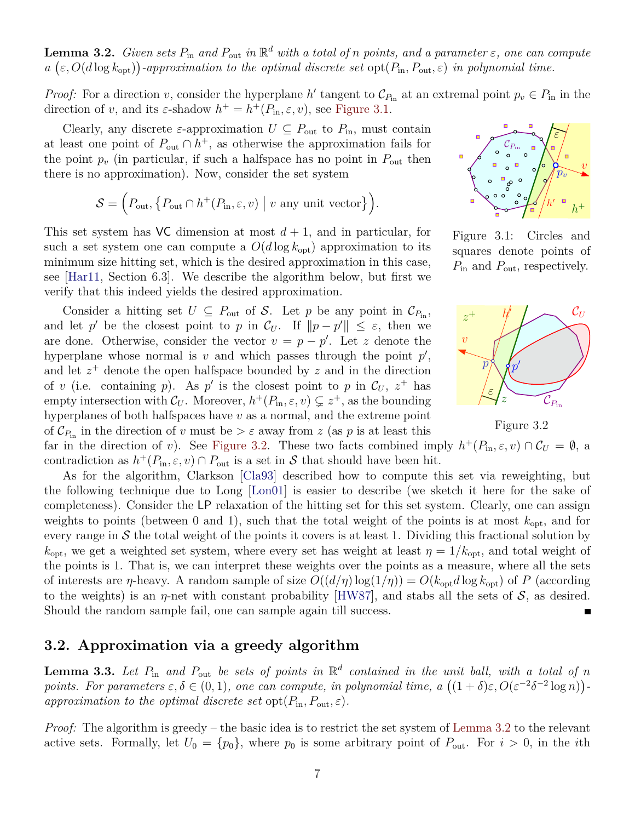**Lemma 3.2.** *Given sets*  $P_{\text{in}}$  *and*  $P_{\text{out}}$  *in*  $\mathbb{R}^d$  *with a total of n points, and a parameter*  $\varepsilon$ *, one can compute*  $a\left(\varepsilon, O(d\log k_{\rm opt})\right)$ -approximation to the optimal discrete set  $\text{opt}(P_{\rm in}, P_{\rm out}, \varepsilon)$  *in polynomial time.* 

*Proof:* For a direction v, consider the hyperplane h' tangent to  $\mathcal{C}_{P_{in}}$  at an extremal point  $p_v \in P_{in}$  in the direction of v, and its  $\varepsilon$ -shadow  $h^+ = h^+(P_{\text{in}}, \varepsilon, v)$ , see [Figure 3.1.](#page-6-2)

Clearly, any discrete  $\varepsilon$ -approximation  $U \subseteq P_{\text{out}}$  to  $P_{\text{in}}$ , must contain at least one point of  $P_{\text{out}} \cap h^+$ , as otherwise the approximation fails for the point  $p_v$  (in particular, if such a halfspace has no point in  $P_{\text{out}}$  then there is no approximation). Now, consider the set system

$$
\mathcal{S} = \left( P_{\text{out}}, \left\{ P_{\text{out}} \cap h^+(P_{\text{in}}, \varepsilon, v) \mid v \text{ any unit vector} \right\} \right).
$$

This set system has VC dimension at most  $d+1$ , and in particular, for such a set system one can compute a  $O(d \log k_{\rm opt})$  approximation to its minimum size hitting set, which is the desired approximation in this case, see [\[Har11,](#page-13-10) Section 6.3]. We describe the algorithm below, but first we verify that this indeed yields the desired approximation.

Consider a hitting set  $U \subseteq P_{\text{out}}$  of S. Let p be any point in  $\mathcal{C}_{P_{\text{in}}}$ , and let p' be the closest point to p in  $\mathcal{C}_U$ . If  $||p - p'|| \leq \varepsilon$ , then we are done. Otherwise, consider the vector  $v = p - p'$ . Let z denote the hyperplane whose normal is  $v$  and which passes through the point  $p'$ , and let  $z^+$  denote the open halfspace bounded by z and in the direction of v (i.e. containing p). As p' is the closest point to p in  $\mathcal{C}_U$ ,  $z^+$  has empty intersection with  $\mathcal{C}_U$ . Moreover,  $h^+(P_{\text{in}}, \varepsilon, v) \subsetneq z^+$ , as the bounding hyperplanes of both halfspaces have  $v$  as a normal, and the extreme point of  $\mathcal{C}_{P_{\text{in}}}$  in the direction of v must be  $>\varepsilon$  away from z (as p is at least this



<span id="page-6-2"></span>Figure 3.1: Circles and squares denote points of  $P_{\text{in}}$  and  $P_{\text{out}}$ , respectively.



<span id="page-6-3"></span>Figure 3.2

far in the direction of v). See [Figure 3.2.](#page-6-3) These two facts combined imply  $h^+(P_{\text{in}}, \varepsilon, v) \cap C_U = \emptyset$ , a contradiction as  $h^+(P_{\text{in}}, \varepsilon, v) \cap P_{\text{out}}$  is a set in S that should have been hit.

As for the algorithm, Clarkson [\[Cla93\]](#page-13-7) described how to compute this set via reweighting, but the following technique due to Long [\[Lon01\]](#page-13-11) is easier to describe (we sketch it here for the sake of completeness). Consider the LP relaxation of the hitting set for this set system. Clearly, one can assign weights to points (between 0 and 1), such that the total weight of the points is at most  $k_{\text{opt}}$ , and for every range in  $S$  the total weight of the points it covers is at least 1. Dividing this fractional solution by  $k_{\text{opt}}$ , we get a weighted set system, where every set has weight at least  $\eta = 1/k_{\text{opt}}$ , and total weight of the points is 1. That is, we can interpret these weights over the points as a measure, where all the sets of interests are *η*-heavy. A random sample of size  $O((d/\eta) \log(1/\eta)) = O(k_{opt} d \log k_{opt})$  of P (according to the weights) is an  $\eta$ -net with constant probability [\[HW87\]](#page-13-12), and stabs all the sets of  $\mathcal{S}$ , as desired. Should the random sample fail, one can sample again till success.

#### <span id="page-6-1"></span>**3.2. Approximation via a greedy algorithm**

<span id="page-6-0"></span>**Lemma 3.3.** Let  $P_{\text{in}}$  and  $P_{\text{out}}$  be sets of points in  $\mathbb{R}^d$  contained in the unit ball, with a total of n *points. For parameters*  $\varepsilon, \delta \in (0, 1)$ , one can compute, in polynomial time,  $a((1 + \delta)\varepsilon, O(\varepsilon^{-2}\delta^{-2} \log n))$ *approximation to the optimal discrete set* opt $(P_{\text{in}}, P_{\text{out}}, \varepsilon)$ *.* 

*Proof:* The algorithm is greedy – the basic idea is to restrict the set system of [Lemma 3.2](#page-5-0) to the relevant active sets. Formally, let  $U_0 = \{p_0\}$ , where  $p_0$  is some arbitrary point of  $P_{\text{out}}$ . For  $i > 0$ , in the *i*th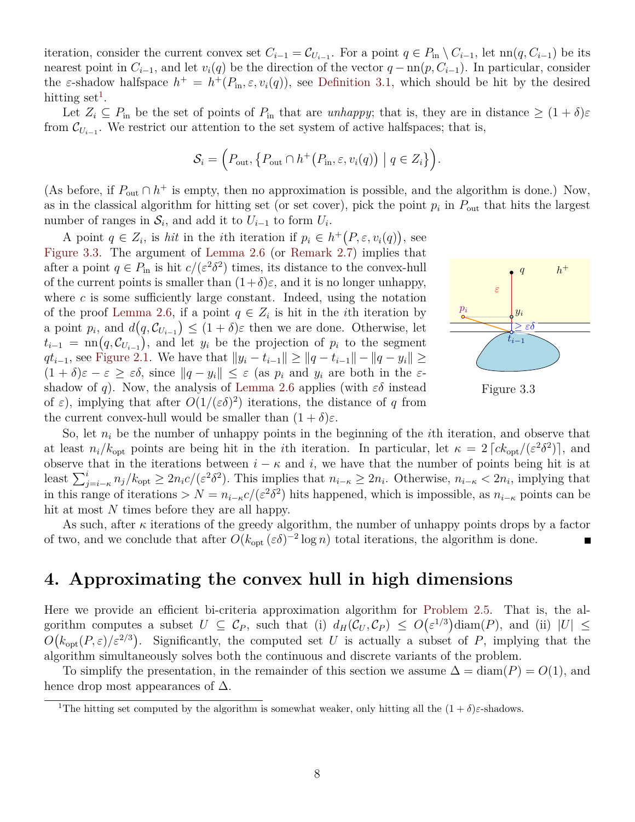iteration, consider the current convex set  $C_{i-1} = C_{U_{i-1}}$ . For a point  $q \in P_{\text{in}} \setminus C_{i-1}$ , let  $\text{nn}(q, C_{i-1})$  be its nearest point in  $C_{i-1}$ , and let  $v_i(q)$  be the direction of the vector  $q - \text{nn}(p, C_{i-1})$ . In particular, consider the  $\varepsilon$ -shadow halfspace  $h^+ = h^+(P_{\text{in}}, \varepsilon, v_i(q))$ , see [Definition 3.1,](#page-5-3) which should be hit by the desired hitting set<sup>[1](#page-7-0)</sup>.

Let  $Z_i \subseteq P_{\text{in}}$  be the set of points of  $P_{\text{in}}$  that are *unhappy*; that is, they are in distance  $\geq (1+\delta)\varepsilon$ from  $\mathcal{C}_{U_{i-1}}$ . We restrict our attention to the set system of active halfspaces; that is,

$$
S_i = \Big(P_{\text{out}}, \big\{P_{\text{out}} \cap h^+\big(P_{\text{in}}, \varepsilon, v_i(q)\big) \mid q \in Z_i\big\}\Big).
$$

(As before, if  $P_{\text{out}} \cap h^+$  is empty, then no approximation is possible, and the algorithm is done.) Now, as in the classical algorithm for hitting set (or set cover), pick the point  $p_i$  in  $P_{\text{out}}$  that hits the largest number of ranges in  $S_i$ , and add it to  $U_{i-1}$  to form  $U_i$ .

A point  $q \in Z_i$ , is *hit* in the *i*th iteration if  $p_i \in h^+(P, \varepsilon, v_i(q))$ , see [Figure 3.3.](#page-7-1) The argument of [Lemma 2.6](#page-4-0) (or [Remark 2.7\)](#page-5-1) implies that after a point  $q \in P_{\text{in}}$  is hit  $c/(\varepsilon^2 \delta^2)$  times, its distance to the convex-hull of the current points is smaller than  $(1+\delta)\varepsilon$ , and it is no longer unhappy, where  $c$  is some sufficiently large constant. Indeed, using the notation of the proof [Lemma 2.6,](#page-4-0) if a point  $q \in Z_i$  is hit in the *i*th iteration by a point  $p_i$ , and  $d(q, \mathcal{C}_{U_{i-1}}) \leq (1+\delta)\varepsilon$  then we are done. Otherwise, let  $t_{i-1} = \text{nn}(q, \mathcal{C}_{U_{i-1}}),$  and let  $y_i$  be the projection of  $p_i$  to the segment  $qt_{i-1}$ , see [Figure 2.1.](#page-4-2) We have that  $||y_i - t_{i-1}|| \ge ||q - t_{i-1}|| - ||q - y_i|| \ge ||q$  $(1 + \delta)\varepsilon - \varepsilon \geq \varepsilon\delta$ , since  $||q - y_i|| \leq \varepsilon$  (as  $p_i$  and  $y_i$  are both in the  $\varepsilon$ -shadow of q). Now, the analysis of [Lemma 2.6](#page-4-0) applies (with  $\varepsilon\delta$  instead of  $\varepsilon$ ), implying that after  $O(1/(\varepsilon\delta)^2)$  iterations, the distance of q from the current convex-hull would be smaller than  $(1 + \delta)\varepsilon$ .



<span id="page-7-1"></span>

So, let  $n_i$  be the number of unhappy points in the beginning of the *i*th iteration, and observe that at least  $n_i/k_{\rm opt}$  points are being hit in the *i*th iteration. In particular, let  $\kappa = 2 \left[ c k_{\rm opt}/(\varepsilon^2 \delta^2) \right]$ , and observe that in the iterations between  $i - \kappa$  and i, we have that the number of points being hit is at least  $\sum_{j=i-\kappa}^{i} n_j/k_{\text{opt}} \geq 2n_i c/(\varepsilon^2 \delta^2)$ . This implies that  $n_{i-\kappa} \geq 2n_i$ . Otherwise,  $n_{i-\kappa} < 2n_i$ , implying that in this range of iterations >  $N = n_{i-\kappa}c/(\varepsilon^2\delta^2)$  hits happened, which is impossible, as  $n_{i-\kappa}$  points can be hit at most N times before they are all happy.

As such, after  $\kappa$  iterations of the greedy algorithm, the number of unhappy points drops by a factor of two, and we conclude that after  $O(k_{\text{opt}}(\varepsilon\delta)^{-2}\log n)$  total iterations, the algorithm is done.

### **4. Approximating the convex hull in high dimensions**

Here we provide an efficient bi-criteria approximation algorithm for [Problem 2.5.](#page-4-3) That is, the algorithm computes a subset  $U \subseteq \mathcal{C}_P$ , such that (i)  $d_H(\mathcal{C}_U, \mathcal{C}_P) \leq O(\varepsilon^{1/3}) \text{diam}(P)$ , and (ii)  $|U| \leq$  $O(k_{opt}(P,\varepsilon)/\varepsilon^{2/3})$ . Significantly, the computed set U is actually a subset of P, implying that the algorithm simultaneously solves both the continuous and discrete variants of the problem.

To simplify the presentation, in the remainder of this section we assume  $\Delta = \text{diam}(P) = O(1)$ , and hence drop most appearances of  $\Delta$ .

<span id="page-7-0"></span><sup>&</sup>lt;sup>1</sup>The hitting set computed by the algorithm is somewhat weaker, only hitting all the  $(1 + \delta)\varepsilon$ -shadows.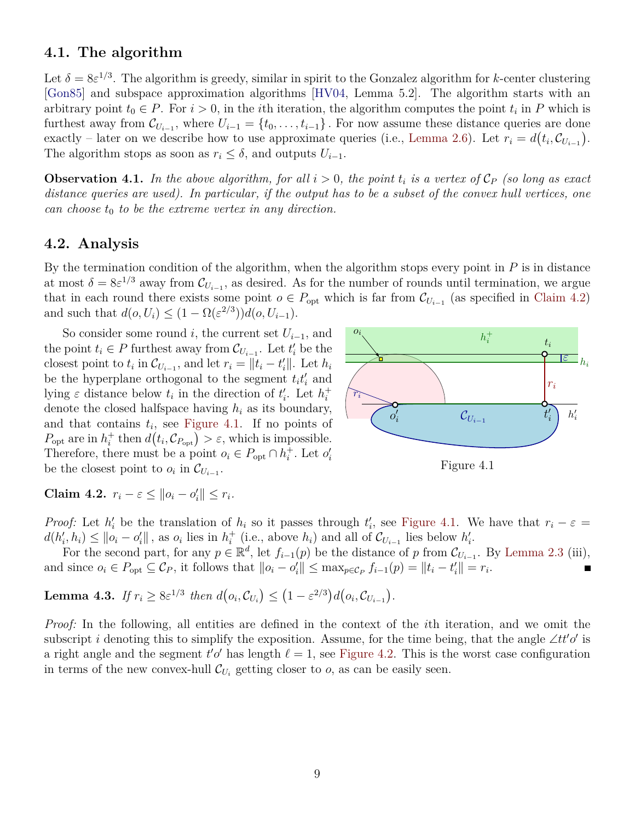#### **4.1. The algorithm**

Let  $\delta = 8\varepsilon^{1/3}$ . The algorithm is greedy, similar in spirit to the Gonzalez algorithm for k-center clustering [\[Gon85\]](#page-13-13) and subspace approximation algorithms [\[HV04,](#page-13-8) Lemma 5.2]. The algorithm starts with an arbitrary point  $t_0 \in P$ . For  $i > 0$ , in the *i*th iteration, the algorithm computes the point  $t_i$  in P which is furthest away from  $\mathcal{C}_{U_{i-1}}$ , where  $U_{i-1} = \{t_0, \ldots, t_{i-1}\}$ . For now assume these distance queries are done exactly – later on we describe how to use approximate queries (i.e., [Lemma 2.6\)](#page-4-0). Let  $r_i = d(t_i, C_{U_{i-1}})$ . The algorithm stops as soon as  $r_i \leq \delta$ , and outputs  $U_{i-1}$ .

**Observation 4.1.** In the above algorithm, for all  $i > 0$ , the point  $t_i$  is a vertex of  $\mathcal{C}_P$  (so long as exact *distance queries are used). In particular, if the output has to be a subset of the convex hull vertices, one can choose*  $t_0$  *to be the extreme vertex in any direction.* 

#### **4.2. Analysis**

By the termination condition of the algorithm, when the algorithm stops every point in  $P$  is in distance at most  $\delta = 8\varepsilon^{1/3}$  away from  $\mathcal{C}_{U_{i-1}}$ , as desired. As for the number of rounds until termination, we argue that in each round there exists some point  $o \in P_{opt}$  which is far from  $\mathcal{C}_{U_{i-1}}$  (as specified in [Claim 4.2\)](#page-8-0) and such that  $d(o, U_i) \leq (1 - \Omega(\varepsilon^{2/3}))d(o, U_{i-1}).$ 

So consider some round i, the current set  $U_{i-1}$ , and the point  $t_i \in P$  furthest away from  $\mathcal{C}_{U_{i-1}}$ . Let  $t'_i$  be the closest point to  $t_i$  in  $\mathcal{C}_{U_{i-1}}$ , and let  $r_i = ||t_i - t'_i||$ . Let  $h_i$ be the hyperplane orthogonal to the segment  $t_i t'_i$  and lying  $\varepsilon$  distance below  $t_i$  in the direction of  $t'_i$ . Let  $h_i^+$ i denote the closed halfspace having  $h_i$  as its boundary, and that contains  $t_i$ , see [Figure 4.1.](#page-8-1) If no points of  $P_{\text{opt}}$  are in  $h_i^+$ <sup>+</sup> then  $d(t_i, \mathcal{C}_{P_{\text{opt}}}) > \varepsilon$ , which is impossible. Therefore, there must be a point  $o_i \in P_{\text{opt}} \cap h_i^+$ <sup>+</sup>. Let  $o'_i$ be the closest point to  $o_i$  in  $\mathcal{C}_{U_{i-1}}$ .



<span id="page-8-1"></span>Figure 4.1

<span id="page-8-0"></span>**Claim 4.2.**  $r_i - \varepsilon \le ||o_i - o'_i|| \le r_i$ .

*Proof:* Let  $h'_i$  be the translation of  $h_i$  so it passes through  $t'_i$ , see [Figure 4.1.](#page-8-1) We have that  $r_i - \varepsilon =$  $d(h'_{i}, h_{i}) \leq ||o_{i} - o'_{i}||$ , as  $o_{i}$  lies in  $h_{i}^{+}$ <sup>+</sup> (i.e., above  $h_i$ ) and all of  $\mathcal{C}_{U_{i-1}}$  lies below  $h'_i$ .

For the second part, for any  $p \in \mathbb{R}^d$ , let  $f_{i-1}(p)$  be the distance of p from  $\mathcal{C}_{U_{i-1}}$ . By [Lemma 2.3](#page-3-2) (iii), and since  $o_i \in P_{opt} \subseteq C_P$ , it follows that  $||o_i - o'_i|| \leq \max_{p \in C_P} f_{i-1}(p) = ||t_i - t'_i|| = r_i$ .

<span id="page-8-2"></span>**Lemma 4.3.** *If*  $r_i \ge 8\varepsilon^{1/3}$  *then*  $d(o_i, C_{U_i}) \le (1 - \varepsilon^{2/3})d(o_i, C_{U_{i-1}})$ .

*Proof:* In the following, all entities are defined in the context of the *i*th iteration, and we omit the subscript *i* denoting this to simplify the exposition. Assume, for the time being, that the angle ∠tt'o' is a right angle and the segment  $t'o'$  has length  $\ell = 1$ , see [Figure 4.2.](#page-9-0) This is the worst case configuration in terms of the new convex-hull  $\mathcal{C}_{U_i}$  getting closer to  $o$ , as can be easily seen.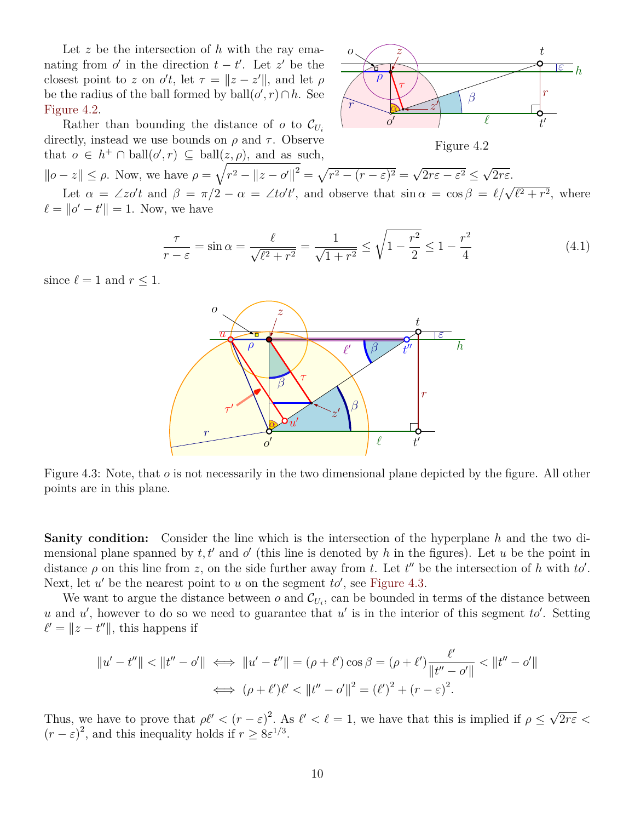Let  $z$  be the intersection of  $h$  with the ray emanating from  $o'$  in the direction  $t - t'$ . Let  $z'$  be the closest point to z on  $o't$ , let  $\tau = ||z - z'||$ , and let  $\rho$ be the radius of the ball formed by  $ball(o', r) \cap h$ . See [Figure 4.2.](#page-9-0)



Rather than bounding the distance of  $o$  to  $\mathcal{C}_{U_i}$ directly, instead we use bounds on  $\rho$  and  $\tau$ . Observe that  $o \in h^+ \cap \text{ball}(o', r) \subseteq \text{ball}(z, \rho)$ , and as such,

Figure 4.2

<span id="page-9-2"></span><span id="page-9-0"></span>√

√

 $||o - z|| \le \rho$ . Now, we have  $\rho = \sqrt{r^2 - ||z - o'||^2} = \sqrt{r^2 - (r - \varepsilon)^2} =$  $2r\varepsilon - \varepsilon^2 \leq$  $2r\varepsilon$ . Let  $\alpha = \angle z \circ' t$  and  $\beta = \pi/2 - \alpha = \angle t \circ' t'$ , and observe that  $\sin \alpha = \cos \beta = \ell/\sqrt{\ell^2 + r^2}$ , where  $\ell = ||o' - t'|| = 1$ . Now, we have

$$
\frac{\tau}{r-\varepsilon} = \sin \alpha = \frac{\ell}{\sqrt{\ell^2 + r^2}} = \frac{1}{\sqrt{1+r^2}} \le \sqrt{1 - \frac{r^2}{2}} \le 1 - \frac{r^2}{4}
$$
(4.1)

<span id="page-9-1"></span>since  $\ell = 1$  and  $r \leq 1$ .



Figure 4.3: Note, that  $\sigma$  is not necessarily in the two dimensional plane depicted by the figure. All other points are in this plane.

**Sanity condition:** Consider the line which is the intersection of the hyperplane h and the two dimensional plane spanned by  $t, t'$  and  $o'$  (this line is denoted by h in the figures). Let u be the point in distance  $\rho$  on this line from z, on the side further away from t. Let t'' be the intersection of h with to'. Next, let  $u'$  be the nearest point to  $u$  on the segment  $to'$ , see [Figure 4.3.](#page-9-1)

We want to argue the distance between  $o$  and  $\mathcal{C}_{U_i}$ , can be bounded in terms of the distance between u and u', however to do so we need to guarantee that u' is in the interior of this segment to'. Setting  $\ell' = ||z - t''||$ , this happens if

$$
||u' - t''|| < ||t'' - o'|| \iff ||u' - t''|| = (\rho + \ell') \cos \beta = (\rho + \ell') \frac{\ell'}{||t'' - o'||} < ||t'' - o'||
$$
  

$$
\iff (\rho + \ell')\ell' < ||t'' - o'||^2 = (\ell')^2 + (r - \varepsilon)^2.
$$

Thus, we have to prove that  $\rho \ell' < (r - \varepsilon)^2$ . As  $\ell' < \ell = 1$ , we have that this is implied if  $\rho \leq$ √  $2r\varepsilon$  <  $(r - \varepsilon)^2$ , and this inequality holds if  $r \geq 8\varepsilon^{1/3}$ .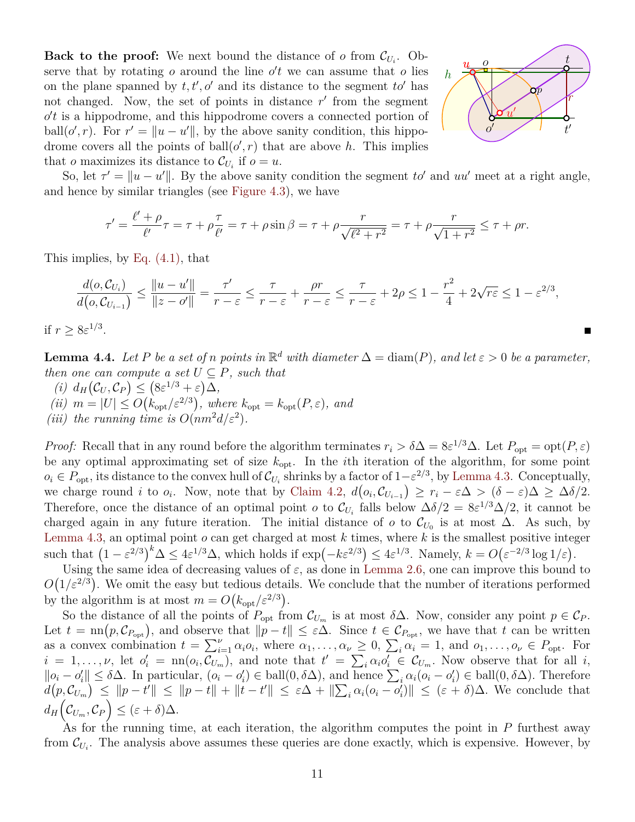**Back to the proof:** We next bound the distance of  $o$  from  $\mathcal{C}_{U_i}$ . Observe that by rotating  $o$  around the line  $o't$  we can assume that  $o$  lies on the plane spanned by  $t, t', o'$  and its distance to the segment  $to'$  has not changed. Now, the set of points in distance  $r'$  from the segment  $o't$  is a hippodrome, and this hippodrome covers a connected portion of ball $(o', r)$ . For  $r' = ||u - u'||$ , by the above sanity condition, this hippodrome covers all the points of ball $(o', r)$  that are above h. This implies that *o* maximizes its distance to  $\mathcal{C}_{U_i}$  if  $o = u$ .



So, let  $\tau' = ||u - u'||$ . By the above sanity condition the segment to' and uu' meet at a right angle, and hence by similar triangles (see [Figure 4.3\)](#page-9-1), we have

$$
\tau' = \frac{\ell' + \rho}{\ell'} \tau = \tau + \rho \frac{\tau}{\ell'} = \tau + \rho \sin \beta = \tau + \rho \frac{r}{\sqrt{\ell^2 + r^2}} = \tau + \rho \frac{r}{\sqrt{1 + r^2}} \le \tau + \rho r.
$$

This implies, by [Eq. \(4.1\),](#page-9-2) that

$$
\frac{d(o, C_{U_i})}{d(o, C_{U_{i-1}})} \le \frac{\|u - u'\|}{\|z - o'\|} = \frac{\tau'}{r - \varepsilon} \le \frac{\tau}{r - \varepsilon} + \frac{\rho r}{r - \varepsilon} \le \frac{\tau}{r - \varepsilon} + 2\rho \le 1 - \frac{r^2}{4} + 2\sqrt{r\varepsilon} \le 1 - \varepsilon^{2/3},
$$

if  $r \geq 8\varepsilon^{1/3}$ .

<span id="page-10-0"></span>**Lemma 4.4.** *Let* P *be a set of n points in*  $\mathbb{R}^d$  *with diameter*  $\Delta = \text{diam}(P)$ *, and let*  $\varepsilon > 0$  *be a parameter, then one can compute a set*  $U \subseteq P$ *, such that* 

- $(i)$   $d_H(\mathcal{C}_U, \mathcal{C}_P) \leq (8\varepsilon^{1/3} + \varepsilon)\Delta,$ (*ii*)  $m = |U| \leq O(k_{opt}/\varepsilon^{2/3})$ , where  $k_{opt} = k_{opt}(P, \varepsilon)$ , and
- (*iii*) the running time is  $O(nm^2d/\varepsilon^2)$ .

*Proof:* Recall that in any round before the algorithm terminates  $r_i > \delta \Delta = 8\varepsilon^{1/3}\Delta$ . Let  $P_{opt} = opt(P, \varepsilon)$ be any optimal approximating set of size  $k_{\text{opt}}$ . In the *i*th iteration of the algorithm, for some point  $o_i \in P_{\text{opt}}$ , its distance to the convex hull of  $\mathcal{C}_{U_i}$  shrinks by a factor of  $1-\varepsilon^{2/3}$ , by [Lemma 4.3.](#page-8-2) Conceptually, we charge round *i* to  $o_i$ . Now, note that by [Claim 4.2,](#page-8-0)  $d(o_i, C_{U_{i-1}}) \geq r_i - \varepsilon \Delta > (\delta - \varepsilon) \Delta \geq \Delta \delta/2$ . Therefore, once the distance of an optimal point  $o$  to  $\mathcal{C}_{U_i}$  falls below  $\Delta \delta/2 = 8\varepsilon^{1/3}\Delta/2$ , it cannot be charged again in any future iteration. The initial distance of  $\sigma$  to  $\mathcal{C}_{U_0}$  is at most  $\Delta$ . As such, by [Lemma 4.3,](#page-8-2) an optimal point  $o$  can get charged at most  $k$  times, where  $k$  is the smallest positive integer such that  $(1 - \varepsilon^{2/3})^k \Delta \le 4\varepsilon^{1/3} \Delta$ , which holds if  $\exp(-k\varepsilon^{2/3}) \le 4\varepsilon^{1/3}$ . Namely,  $k = O(\varepsilon^{-2/3} \log 1/\varepsilon)$ .

Using the same idea of decreasing values of  $\varepsilon$ , as done in [Lemma 2.6,](#page-4-0) one can improve this bound to  $O(1/\varepsilon^{2/3})$ . We omit the easy but tedious details. We conclude that the number of iterations performed by the algorithm is at most  $m = O(k_{\text{opt}}/\varepsilon^{2/3})$ .

So the distance of all the points of  $P_{\text{opt}}$  from  $\mathcal{C}_{U_m}$  is at most  $\delta\Delta$ . Now, consider any point  $p \in \mathcal{C}_P$ . Let  $t = \text{nn}(p, \mathcal{C}_{P_{\text{opt}}})$ , and observe that  $||p - t|| \leq \varepsilon \Delta$ . Since  $t \in \mathcal{C}_{P_{\text{opt}}}$ , we have that t can be written as a convex combination  $t = \sum_{i=1}^{V} \alpha_i o_i$ , where  $\alpha_1, \ldots, \alpha_{V} \geq 0$ ,  $\sum_i \alpha_i = 1$ , and  $o_1, \ldots, o_{V} \in P_{\text{opt}}$ . For  $i = 1, \ldots, \nu$ , let  $o'_i = \text{nn}(o_i, C_{U_m})$ , and note that  $t' = \sum_i \alpha_i o'_i \in C_{U_m}$ . Now observe that for all i,  $||o_i - o'_i|| \leq \delta \Delta$ . In particular,  $(o_i - o'_i) \in \text{ball}(0, \delta \Delta)$ , and hence  $\sum_i \alpha_i(o_i - o'_i) \in \text{ball}(0, \delta \Delta)$ . Therefore  $d(p, C_{U_m}) \leq ||p - t|| + ||p - t|| + ||t - t'|| \leq \varepsilon \Delta + ||\sum_i \alpha_i (o_i - o'_i)|| \leq (\varepsilon + \delta) \Delta$ . We conclude that  $d_H\left(\mathcal{C}_{U_m}, \mathcal{C}_P\right) \leq (\varepsilon + \delta)\Delta.$ 

As for the running time, at each iteration, the algorithm computes the point in  $P$  furthest away from  $\mathcal{C}_{U_i}$ . The analysis above assumes these queries are done exactly, which is expensive. However, by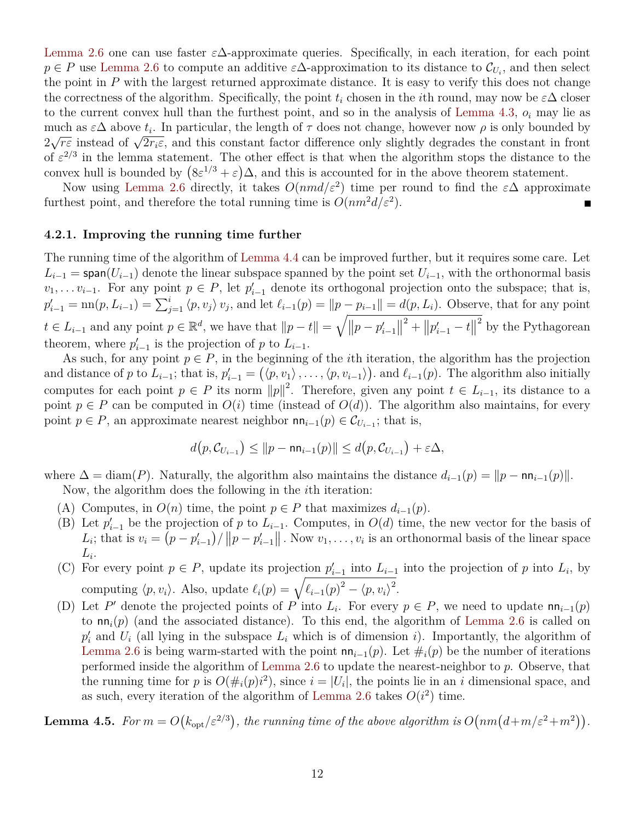[Lemma 2.6](#page-4-0) one can use faster  $\varepsilon\Delta$ -approximate queries. Specifically, in each iteration, for each point  $p \in P$  use [Lemma 2.6](#page-4-0) to compute an additive  $\varepsilon \Delta$ -approximation to its distance to  $\mathcal{C}_{U_i}$ , and then select the point in  $P$  with the largest returned approximate distance. It is easy to verify this does not change the correctness of the algorithm. Specifically, the point  $t_i$  chosen in the *i*th round, may now be  $\varepsilon\Delta$  closer to the current convex hull than the furthest point, and so in the analysis of [Lemma 4.3,](#page-8-2)  $o_i$  may lie as much as  $\varepsilon\Delta$  above  $t_i$ . In particular, the length of  $\tau$  does not change, however now  $\rho$  is only bounded by much as  $\epsilon \Delta$  above  $i_i$ . In particular, the length of 7 does not change, however now p is only bounded by  $2\sqrt{r\epsilon}$  instead of  $\sqrt{2r_i\epsilon}$ , and this constant factor difference only slightly degrades the constant in fro of  $\varepsilon^{2/3}$  in the lemma statement. The other effect is that when the algorithm stops the distance to the convex hull is bounded by  $(8\varepsilon^{1/3} + \varepsilon)\Delta$ , and this is accounted for in the above theorem statement.

Now using [Lemma 2.6](#page-4-0) directly, it takes  $O(nmd/\varepsilon^2)$  time per round to find the  $\varepsilon\Delta$  approximate furthest point, and therefore the total running time is  $O(nm^2d/\varepsilon^2)$ .

#### **4.2.1. Improving the running time further**

The running time of the algorithm of [Lemma 4.4](#page-10-0) can be improved further, but it requires some care. Let  $L_{i-1}$  = span( $U_{i-1}$ ) denote the linear subspace spanned by the point set  $U_{i-1}$ , with the orthonormal basis  $v_1, \ldots v_{i-1}$ . For any point  $p \in P$ , let  $p'_{i-1}$  denote its orthogonal projection onto the subspace; that is,  $p'_{i-1} = \text{nn}(p, L_{i-1}) = \sum_{j=1}^{i} \langle p, v_j \rangle v_j$ , and let  $\ell_{i-1}(p) = ||p - p_{i-1}|| = d(p, L_i)$ . Observe, that for any point  $t \in L_{i-1}$  and any point  $p \in \mathbb{R}^d$ , we have that  $||p - t|| = \sqrt{||p - p'_{i-1}||}$ <sup>2</sup> +  $||p'_{i-1} - t||$ <sup>2</sup> by the Pythagorean theorem, where  $p'_{i-1}$  is the projection of p to  $L_{i-1}$ .

As such, for any point  $p \in P$ , in the beginning of the *i*th iteration, the algorithm has the projection and distance of p to  $L_{i-1}$ ; that is,  $p'_{i-1} = (\langle p, v_1 \rangle, \ldots, \langle p, v_{i-1} \rangle)$ . and  $\ell_{i-1}(p)$ . The algorithm also initially computes for each point  $p \in P$  its norm  $||p||^2$ . Therefore, given any point  $t \in L_{i-1}$ , its distance to a point  $p \in P$  can be computed in  $O(i)$  time (instead of  $O(d)$ ). The algorithm also maintains, for every point  $p \in P$ , an approximate nearest neighbor  $nn_{i-1}(p) \in C_{U_{i-1}}$ ; that is,

$$
d\big(p, \mathcal{C}_{U_{i-1}}\big) \leq \|p - \mathsf{n} \mathsf{n}_{i-1}(p)\| \leq d\big(p, \mathcal{C}_{U_{i-1}}\big) + \varepsilon \Delta,
$$

where  $\Delta = \text{diam}(P)$ . Naturally, the algorithm also maintains the distance  $d_{i-1}(p) = ||p - \text{nn}_{i-1}(p)||$ . Now, the algorithm does the following in the ith iteration:

- (A) Computes, in  $O(n)$  time, the point  $p \in P$  that maximizes  $d_{i-1}(p)$ .
- (B) Let  $p'_{i-1}$  be the projection of p to  $L_{i-1}$ . Computes, in  $O(d)$  time, the new vector for the basis of  $L_i$ ; that is  $v_i = (p - p'_{i-1}) / ||p - p'_{i-1}||$ . Now  $v_1, \ldots, v_i$  is an orthonormal basis of the linear space  $L_i$ .
- (C) For every point  $p \in P$ , update its projection  $p'_{i-1}$  into  $L_{i-1}$  into the projection of p into  $L_i$ , by computing  $\langle p, v_i \rangle$ . Also, update  $\ell_i(p) = \sqrt{\ell_{i-1}(p)^2 - \langle p, v_i \rangle^2}$ .
- <span id="page-11-0"></span>(D) Let P' denote the projected points of P into  $L_i$ . For every  $p \in P$ , we need to update  $nn_{i-1}(p)$ to  $nn_i(p)$  (and the associated distance). To this end, the algorithm of [Lemma 2.6](#page-4-0) is called on  $p'_i$  and  $U_i$  (all lying in the subspace  $L_i$  which is of dimension i). Importantly, the algorithm of [Lemma 2.6](#page-4-0) is being warm-started with the point  $nn_{i-1}(p)$ . Let  $\#_i(p)$  be the number of iterations performed inside the algorithm of [Lemma 2.6](#page-4-0) to update the nearest-neighbor to  $p$ . Observe, that the running time for p is  $O(\#_i(p) i^2)$ , since  $i = |U_i|$ , the points lie in an i dimensional space, and as such, every iteration of the algorithm of [Lemma 2.6](#page-4-0) takes  $O(i^2)$  time.

**Lemma 4.5.** For  $m = O(k_{opt}/\varepsilon^{2/3})$ , the running time of the above algorithm is  $O(nm(d+m/\varepsilon^2+m^2))$ .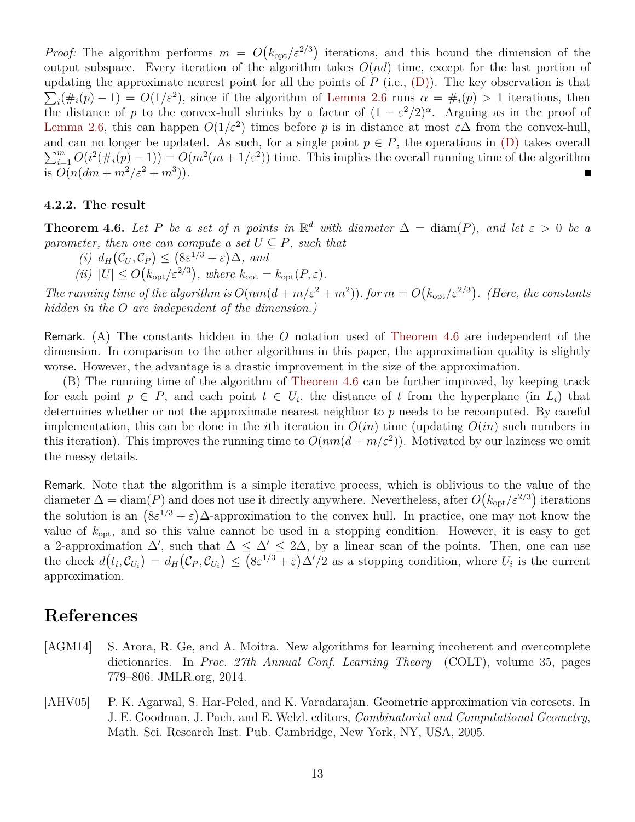*Proof:* The algorithm performs  $m = O(k_{opt}/\varepsilon^{2/3})$  iterations, and this bound the dimension of the output subspace. Every iteration of the algorithm takes  $O(nd)$  time, except for the last portion of updating the approximate nearest point for all the points of  $P$  (i.e.,  $(D)$ ). The key observation is that  $\sum_i(\#_i(p)-1) = O(1/\varepsilon^2)$ , since if the algorithm of [Lemma 2.6](#page-4-0) runs  $\alpha = \#_i(p) > 1$  iterations, then the distance of p to the convex-hull shrinks by a factor of  $(1 - \varepsilon^2/2)^{\alpha}$ . Arguing as in the proof of [Lemma 2.6,](#page-4-0) this can happen  $O(1/\varepsilon^2)$  times before p is in distance at most  $\varepsilon\Delta$  from the convex-hull, and can no longer be updated. As such, for a single point  $p \in P$ , the operations in  $(D)$  takes overall  $\sum_{i=1}^{m} O(i^2(\#_i(p)-1)) = O(m^2(m+1/\varepsilon^2))$  time. This implies the overall running time of the algorithm is  $O(n(dm + m^2/\varepsilon^2 + m^3)).$  $\blacksquare$ 

#### **4.2.2. The result**

<span id="page-12-1"></span>**Theorem 4.6.** Let P be a set of n points in  $\mathbb{R}^d$  with diameter  $\Delta = \text{diam}(P)$ , and let  $\varepsilon > 0$  be a *parameter, then one can compute a set*  $U \subseteq P$ *, such that* 

- $(i)$   $d_H(\mathcal{C}_U, \mathcal{C}_P) \leq (8\varepsilon^{1/3} + \varepsilon)\Delta$ *, and*
- (*ii*)  $|U| \leq O(k_{\rm opt}/\varepsilon^{2/3})$ , where  $k_{\rm opt} = k_{\rm opt}(P, \varepsilon)$ .

The running time of the algorithm is  $O(nm(d+m/\varepsilon^2+m^2))$ . *for*  $m=O(k_{\rm opt}/\varepsilon^{2/3})$ . *(Here, the constants hidden in the* O *are independent of the dimension.)*

Remark. (A) The constants hidden in the O notation used of [Theorem 4.6](#page-12-1) are independent of the dimension. In comparison to the other algorithms in this paper, the approximation quality is slightly worse. However, the advantage is a drastic improvement in the size of the approximation.

(B) The running time of the algorithm of [Theorem 4.6](#page-12-1) can be further improved, by keeping track for each point  $p \in P$ , and each point  $t \in U_i$ , the distance of t from the hyperplane (in  $L_i$ ) that determines whether or not the approximate nearest neighbor to  $p$  needs to be recomputed. By careful implementation, this can be done in the *i*th iteration in  $O(in)$  time (updating  $O(in)$  such numbers in this iteration). This improves the running time to  $O(nm(d+m/\varepsilon^2))$ . Motivated by our laziness we omit the messy details.

Remark. Note that the algorithm is a simple iterative process, which is oblivious to the value of the diameter  $\Delta = \text{diam}(P)$  and does not use it directly anywhere. Nevertheless, after  $O(k_{opt}/\varepsilon^{2/3})$  iterations the solution is an  $(8\varepsilon^{1/3} + \varepsilon)\Delta$ -approximation to the convex hull. In practice, one may not know the value of  $k_{\text{opt}}$ , and so this value cannot be used in a stopping condition. However, it is easy to get a 2-approximation  $\Delta'$ , such that  $\Delta \leq \Delta' \leq 2\Delta$ , by a linear scan of the points. Then, one can use the check  $d(t_i, \mathcal{C}_{U_i}) = d_H(\mathcal{C}_P, \mathcal{C}_{U_i}) \leq (8\varepsilon^{1/3} + \varepsilon)\Delta'/2$  as a stopping condition, where  $U_i$  is the current approximation.

## **References**

- <span id="page-12-2"></span>[AGM14] [S. Arora,](http://www.cs.princeton.edu/~arora/) R. Ge, and A. Moitra. New algorithms for learning incoherent and overcomplete dictionaries. In *Proc. 27th Annual Conf. Learning Theory* (COLT), volume 35, pages 779–806. JMLR.org, 2014.
- <span id="page-12-0"></span>[AHV05] [P. K. Agarwal,](http://www.cs.duke.edu/~pankaj) [S. Har-Peled,](http://sarielhp.org) and K. Varadarajan. Geometric approximation via coresets. In J. E. Goodman, [J. Pach,](http://www.math.nyu.edu/~pach) and E. Welzl, editors, *Combinatorial and Computational Geometry*, Math. Sci. Research Inst. Pub. Cambridge, New York, NY, USA, 2005.